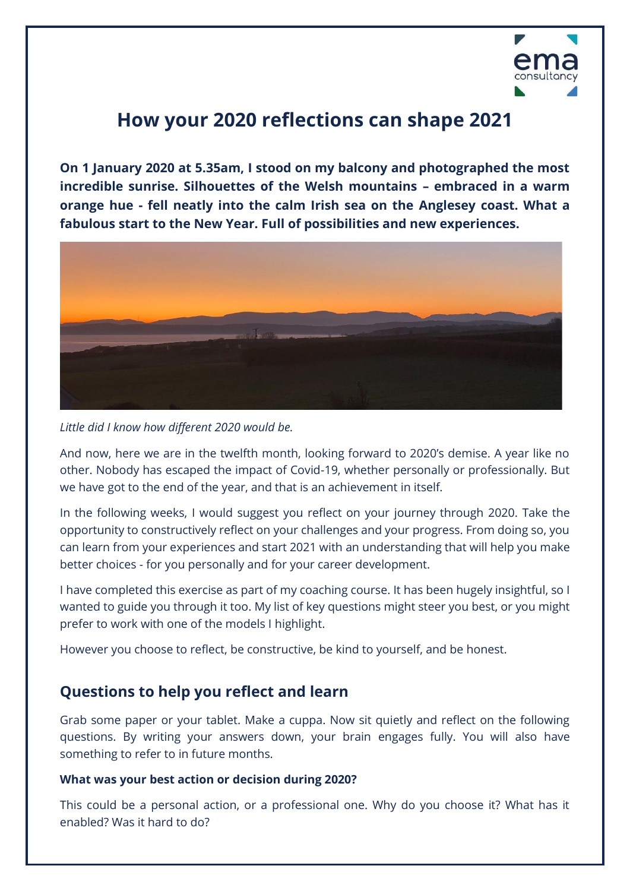

# **How your 2020 reflections can shape 2021**

**On 1 January 2020 at 5.35am, I stood on my balcony and photographed the most incredible sunrise. Silhouettes of the Welsh mountains – embraced in a warm orange hue - fell neatly into the calm Irish sea on the Anglesey coast. What a fabulous start to the New Year. Full of possibilities and new experiences.**



### *Little did I know how different 2020 would be.*

And now, here we are in the twelfth month, looking forward to 2020's demise. A year like no other. Nobody has escaped the impact of Covid-19, whether personally or professionally. But we have got to the end of the year, and that is an achievement in itself.

In the following weeks, I would suggest you reflect on your journey through 2020. Take the opportunity to constructively reflect on your challenges and your progress. From doing so, you can learn from your experiences and start 2021 with an understanding that will help you make better choices - for you personally and for your career development.

I have completed this exercise as part of my coaching course. It has been hugely insightful, so I wanted to guide you through it too. My list of key questions might steer you best, or you might prefer to work with one of the models I highlight.

However you choose to reflect, be constructive, be kind to yourself, and be honest.

### **Questions to help you reflect and learn**

Grab some paper or your tablet. Make a cuppa. Now sit quietly and reflect on the following questions. By writing your answers down, your brain engages fully. You will also have something to refer to in future months.

### **What was your best action or decision during 2020?**

This could be a personal action, or a professional one. Why do you choose it? What has it enabled? Was it hard to do?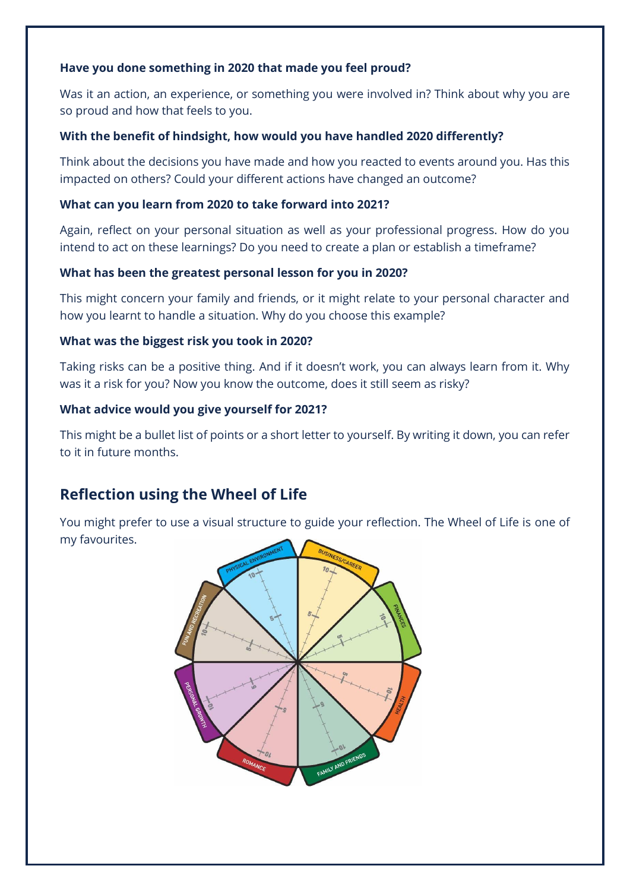### **Have you done something in 2020 that made you feel proud?**

Was it an action, an experience, or something you were involved in? Think about why you are so proud and how that feels to you.

### **With the benefit of hindsight, how would you have handled 2020 differently?**

Think about the decisions you have made and how you reacted to events around you. Has this impacted on others? Could your different actions have changed an outcome?

### **What can you learn from 2020 to take forward into 2021?**

Again, reflect on your personal situation as well as your professional progress. How do you intend to act on these learnings? Do you need to create a plan or establish a timeframe?

### **What has been the greatest personal lesson for you in 2020?**

This might concern your family and friends, or it might relate to your personal character and how you learnt to handle a situation. Why do you choose this example?

### **What was the biggest risk you took in 2020?**

Taking risks can be a positive thing. And if it doesn't work, you can always learn from it. Why was it a risk for you? Now you know the outcome, does it still seem as risky?

### **What advice would you give yourself for 2021?**

This might be a bullet list of points or a short letter to yourself. By writing it down, you can refer to it in future months.

### **Reflection using the Wheel of Life**

You might prefer to use a visual structure to guide your reflection. The Wheel of Life is one of my favourites.

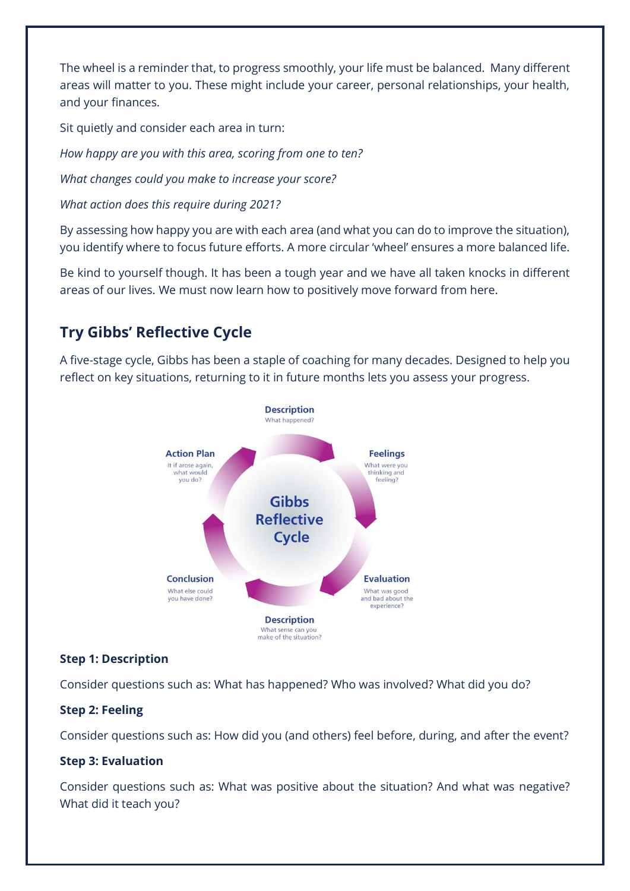The wheel is a reminder that, to progress smoothly, your life must be balanced. Many different areas will matter to you. These might include your career, personal relationships, your health, and your finances.

Sit quietly and consider each area in turn:

*How happy are you with this area, scoring from one to ten?*

*What changes could you make to increase your score?*

*What action does this require during 2021?*

By assessing how happy you are with each area (and what you can do to improve the situation), you identify where to focus future efforts. A more circular 'wheel' ensures a more balanced life.

Be kind to yourself though. It has been a tough year and we have all taken knocks in different areas of our lives. We must now learn how to positively move forward from here.

## **Try Gibbs' Reflective Cycle**

A five-stage cycle, Gibbs has been a staple of coaching for many decades. Designed to help you reflect on key situations, returning to it in future months lets you assess your progress.



### **Step 1: Description**

Consider questions such as: What has happened? Who was involved? What did you do?

### **Step 2: Feeling**

Consider questions such as: How did you (and others) feel before, during, and after the event?

### **Step 3: Evaluation**

Consider questions such as: What was positive about the situation? And what was negative? What did it teach you?